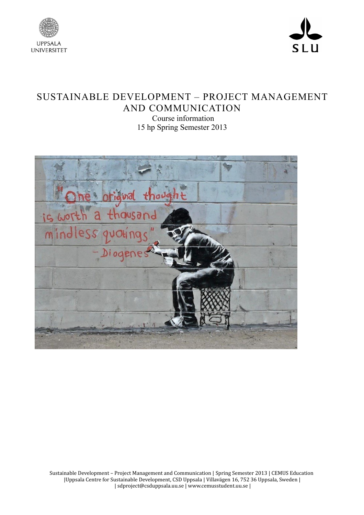



# SUSTAINABLE DEVELOPMENT – PROJECT MANAGEMENT AND COMMUNICATION

Course information 15 hp Spring Semester 2013



Sustainable Development – Project Management and Communication | Spring Semester 2013 | CEMUS Education |Uppsala Centre for Sustainable Development, CSD Uppsala | Villavägen 16, 752 36 Uppsala, Sweden | | sdproject@csduppsala.uu.se | www.cemusstudent.uu.se |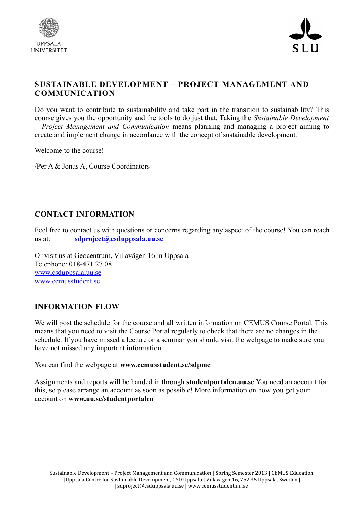



# **SUSTAINABLE DEVELOPMENT – PROJECT MANAGEMENT AND COMMUNICATION**

Do you want to contribute to sustainability and take part in the transition to sustainability? This course gives you the opportunity and the tools to do just that. Taking the *Sustainable Development – Project Management and Communication* means planning and managing a project aiming to create and implement change in accordance with the concept of sustainable development.

Welcome to the course!

/Per A & Jonas A, Course Coordinators

# **CONTACT INFORMATION**

Feel free to contact us with questions or concerns regarding any aspect of the course! You can reach us at: **[sdproject@csduppsala.uu.se](mailto:sdproject@csduppsala.uu.se)**

Or visit us at Geocentrum, Villavägen 16 in Uppsala Telephone: 018-471 27 08 [www.csduppsala.uu.se](http://www.csduppsala.uu.se/) [www.cemusstudent.se](http://www.cemusstudent.se/)

# **INFORMATION FLOW**

We will post the schedule for the course and all written information on CEMUS Course Portal. This means that you need to visit the Course Portal regularly to check that there are no changes in the schedule. If you have missed a lecture or a seminar you should visit the webpage to make sure you have not missed any important information.

You can find the webpage at **www.cemusstudent.se/sdpmc**

Assignments and reports will be handed in through **studentportalen.uu.se** You need an account for this, so please arrange an account as soon as possible! More information on how you get your account on **www.uu.se/studentportalen**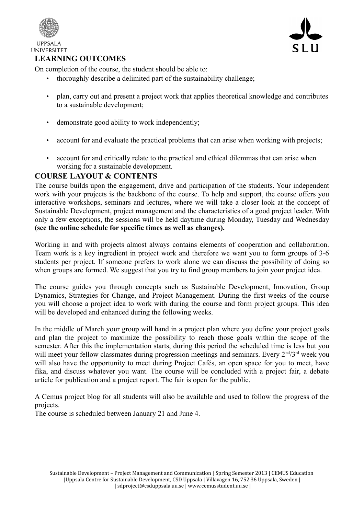

**LIPPSALA UNIVERSITET** 

# **LEARNING OUTCOMES**

On completion of the course, the student should be able to:

- thoroughly describe a delimited part of the sustainability challenge;
- plan, carry out and present a project work that applies theoretical knowledge and contributes to a sustainable development;
- demonstrate good ability to work independently;
- account for and evaluate the practical problems that can arise when working with projects;
- account for and critically relate to the practical and ethical dilemmas that can arise when working for a sustainable development.

## **COURSE LAYOUT & CONTENTS**

The course builds upon the engagement, drive and participation of the students. Your independent work with your projects is the backbone of the course. To help and support, the course offers you interactive workshops, seminars and lectures, where we will take a closer look at the concept of Sustainable Development, project management and the characteristics of a good project leader. With only a few exceptions, the sessions will be held daytime during Monday, Tuesday and Wednesday **(see the online schedule for specific times as well as changes).** 

Working in and with projects almost always contains elements of cooperation and collaboration. Team work is a key ingredient in project work and therefore we want you to form groups of 3-6 students per project. If someone prefers to work alone we can discuss the possibility of doing so when groups are formed. We suggest that you try to find group members to join your project idea.

The course guides you through concepts such as Sustainable Development, Innovation, Group Dynamics, Strategies for Change, and Project Management. During the first weeks of the course you will choose a project idea to work with during the course and form project groups. This idea will be developed and enhanced during the following weeks.

In the middle of March your group will hand in a project plan where you define your project goals and plan the project to maximize the possibility to reach those goals within the scope of the semester. After this the implementation starts, during this period the scheduled time is less but you will meet your fellow classmates during progression meetings and seminars. Every  $2<sup>nd</sup>/3<sup>rd</sup>$  week you will also have the opportunity to meet during Project Cafés, an open space for you to meet, have fika, and discuss whatever you want. The course will be concluded with a project fair, a debate article for publication and a project report. The fair is open for the public.

A Cemus project blog for all students will also be available and used to follow the progress of the projects.

The course is scheduled between January 21 and June 4.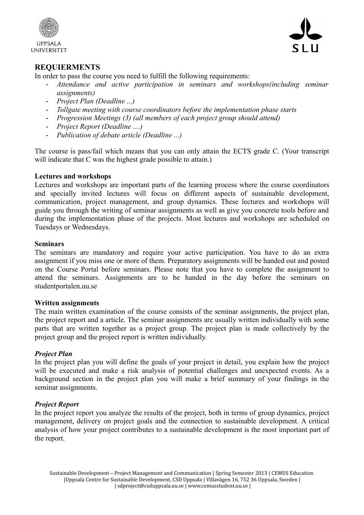



# **REQUIERMENTS**

In order to pass the course you need to fulfill the following requirements:

- *- Attendance and active participation in seminars and workshops(including seminar assignments)*
- *- Project Plan (Deadline ...)*
- *- Tollgate meeting with course coordinators before the implementation phase starts*
- *- Progression Meetings (3) (all members of each project group should attend)*
- *- Project Report (Deadline ....)*
- *- Publication of debate article (Deadline ...)*

The course is pass/fail which means that you can only attain the ECTS grade C. (Your transcript will indicate that C was the highest grade possible to attain.)

#### **Lectures and workshops**

Lectures and workshops are important parts of the learning process where the course coordinators and specially invited lectures will focus on different aspects of sustainable development, communication, project management, and group dynamics. These lectures and workshops will guide you through the writing of seminar assignments as well as give you concrete tools before and during the implementation phase of the projects. Most lectures and workshops are scheduled on Tuesdays or Wednesdays.

#### **Seminars**

The seminars are mandatory and require your active participation. You have to do an extra assignment if you miss one or more of them. Preparatory assignments will be handed out and posted on the Course Portal before seminars. Please note that you have to complete the assignment to attend the seminars. Assignments are to be handed in the day before the seminars on studentportalen.uu.se

#### **Written assignments**

The main written examination of the course consists of the seminar assignments, the project plan, the project report and a article. The seminar assignments are usually written individually with some parts that are written together as a project group. The project plan is made collectively by the project group and the project report is written individually.

#### *Project Plan*

In the project plan you will define the goals of your project in detail, you explain how the project will be executed and make a risk analysis of potential challenges and unexpected events. As a background section in the project plan you will make a brief summary of your findings in the seminar assignments.

#### *Project Report*

In the project report you analyze the results of the project, both in terms of group dynamics, project management, delivery on project goals and the connection to sustainable development. A critical analysis of how your project contributes to a sustainable development is the most important part of the report.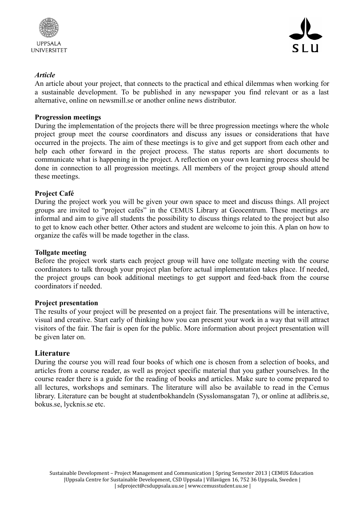



#### *Article*

An article about your project, that connects to the practical and ethical dilemmas when working for a sustainable development. To be published in any newspaper you find relevant or as a last alternative, online on newsmill.se or another online news distributor.

#### **Progression meetings**

During the implementation of the projects there will be three progression meetings where the whole project group meet the course coordinators and discuss any issues or considerations that have occurred in the projects. The aim of these meetings is to give and get support from each other and help each other forward in the project process. The status reports are short documents to communicate what is happening in the project. A reflection on your own learning process should be done in connection to all progression meetings. All members of the project group should attend these meetings.

#### **Project Café**

During the project work you will be given your own space to meet and discuss things. All project groups are invited to "project cafés" in the CEMUS Library at Geocentrum. These meetings are informal and aim to give all students the possibility to discuss things related to the project but also to get to know each other better. Other actors and student are welcome to join this. A plan on how to organize the cafés will be made together in the class.

#### **Tollgate meeting**

Before the project work starts each project group will have one tollgate meeting with the course coordinators to talk through your project plan before actual implementation takes place. If needed, the project groups can book additional meetings to get support and feed-back from the course coordinators if needed.

#### **Project presentation**

The results of your project will be presented on a project fair. The presentations will be interactive, visual and creative. Start early of thinking how you can present your work in a way that will attract visitors of the fair. The fair is open for the public. More information about project presentation will be given later on.

#### **Literature**

During the course you will read four books of which one is chosen from a selection of books, and articles from a course reader, as well as project specific material that you gather yourselves. In the course reader there is a guide for the reading of books and articles. Make sure to come prepared to all lectures, workshops and seminars. The literature will also be available to read in the Cemus library. Literature can be bought at studentbokhandeln (Sysslomansgatan 7), or online at adlibris.se, bokus.se, lycknis.se etc.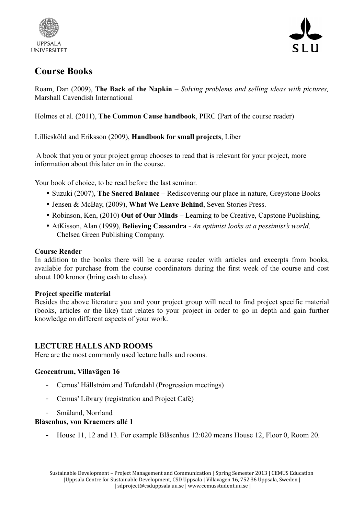



# **Course Books**

Roam, Dan (2009), **The Back of the Napkin** *– Solving problems and selling ideas with pictures,* Marshall Cavendish International

Holmes et al. (2011), **The Common Cause handbook**, PIRC (Part of the course reader)

Lilliesköld and Eriksson (2009), **Handbook for small projects**, Liber

 A book that you or your project group chooses to read that is relevant for your project, more information about this later on in the course.

Your book of choice, to be read before the last seminar.

- Suzuki (2007), **The Sacred Balance** Rediscovering our place in nature, Greystone Books
- Jensen & McBay, (2009), **What We Leave Behind**, Seven Stories Press.
- Robinson, Ken, (2010) **Out of Our Minds** Learning to be Creative, Capstone Publishing.
- AtKisson, Alan (1999), **Believing Cassandra** *An optimist looks at a pessimist's world,* Chelsea Green Publishing Company.

#### **Course Reader**

In addition to the books there will be a course reader with articles and excerpts from books, available for purchase from the course coordinators during the first week of the course and cost about 100 kronor (bring cash to class).

#### **Project specific material**

Besides the above literature you and your project group will need to find project specific material (books, articles or the like) that relates to your project in order to go in depth and gain further knowledge on different aspects of your work.

# **LECTURE HALLS AND ROOMS**

Here are the most commonly used lecture halls and rooms.

#### **Geocentrum, Villavägen 16**

- Cemus' Hällström and Tufendahl (Progression meetings)
- Cemus' Library (registration and Project Café)
- Småland, Norrland

#### **Blåsenhus, von Kraemers allé 1**

- House 11, 12 and 13. For example Blåsenhus 12:020 means House 12, Floor 0, Room 20.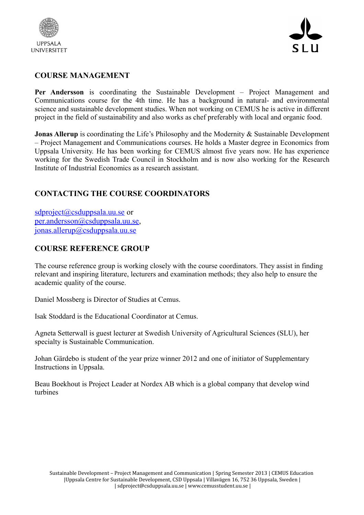



# **COURSE MANAGEMENT**

**Per Andersson** is coordinating the Sustainable Development – Project Management and Communications course for the 4th time. He has a background in natural- and environmental science and sustainable development studies. When not working on CEMUS he is active in different project in the field of sustainability and also works as chef preferably with local and organic food.

**Jonas Allerup** is coordinating the Life's Philosophy and the Modernity & Sustainable Development – Project Management and Communications courses. He holds a Master degree in Economics from Uppsala University. He has been working for CEMUS almost five years now. He has experience working for the Swedish Trade Council in Stockholm and is now also working for the Research Institute of Industrial Economics as a research assistant.

# **CONTACTING THE COURSE COORDINATORS**

[sdproject@csduppsala.uu.se](mailto:sdproject@csduppsala.uu.se) or [per.andersson@csduppsala.uu.se,](mailto:per.andersson@csduppsala.uu.se) [jonas.allerup@csduppsala.uu.se](mailto:jonas.allerup@csduppsala.uu.se)

# **COURSE REFERENCE GROUP**

The course reference group is working closely with the course coordinators. They assist in finding relevant and inspiring literature, lecturers and examination methods; they also help to ensure the academic quality of the course.

Daniel Mossberg is Director of Studies at Cemus.

Isak Stoddard is the Educational Coordinator at Cemus.

Agneta Setterwall is guest lecturer at Swedish University of Agricultural Sciences (SLU), her specialty is Sustainable Communication.

Johan Gärdebo is student of the year prize winner 2012 and one of initiator of Supplementary Instructions in Uppsala.

Beau Boekhout is Project Leader at Nordex AB which is a global company that develop wind turbines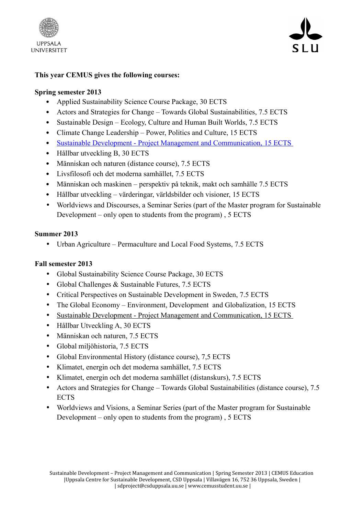



### **This year CEMUS gives the following courses:**

#### **Spring semester 2013**

- Applied Sustainability Science Course Package, 30 ECTS
- Actors and Strategies for Change Towards Global Sustainabilities, 7.5 ECTS
- Sustainable Design Ecology, Culture and Human Built Worlds, 7.5 ECTS
- Climate Change Leadership Power, Politics and Culture, 15 ECTS
- • [Sustainable Development Project Management and Communication, 15 ECTS](http://www.uu.se/node697?kKod=1MV013&lasar=10/11&typ=1)
- Hållbar utveckling B, 30 ECTS
- Människan och naturen (distance course), 7.5 ECTS
- Livsfilosofi och det moderna samhället, 7.5 ECTS
- Människan och maskinen perspektiv på teknik, makt och samhälle 7.5 ECTS
- Hållbar utveckling värderingar, världsbilder och visioner, 15 ECTS
- Worldviews and Discourses, a Seminar Series (part of the Master program for Sustainable Development – only open to students from the program) , 5 ECTS

#### **Summer 2013**

• Urban Agriculture – Permaculture and Local Food Systems, 7.5 ECTS

#### **Fall semester 2013**

- Global Sustainability Science Course Package, 30 ECTS
- Global Challenges & Sustainable Futures, 7.5 ECTS
- Critical Perspectives on Sustainable Development in Sweden, 7.5 ECTS
- The Global Economy Environment, Development and Globalization, 15 ECTS
- • [Sustainable Development Project Management and Communication, 15 ECTS](http://www.uu.se/node697?kKod=1MV013&lasar=10/11&typ=1)
- Hållbar Utveckling A, 30 ECTS
- Människan och naturen, 7.5 ECTS
- Global miljöhistoria, 7.5 ECTS
- Global Environmental History (distance course), 7,5 ECTS
- Klimatet, energin och det moderna samhället, 7.5 ECTS
- Klimatet, energin och det moderna samhället (distanskurs), 7.5 ECTS
- Actors and Strategies for Change Towards Global Sustainabilities (distance course), 7.5 ECTS
- Worldviews and Visions, a Seminar Series (part of the Master program for Sustainable Development – only open to students from the program) , 5 ECTS